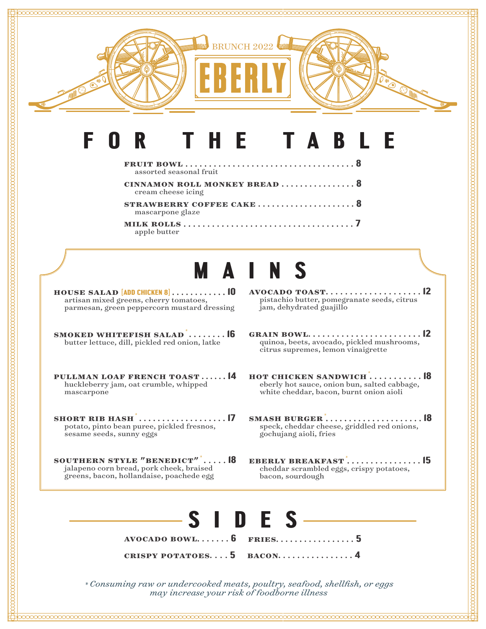

## **f o r t h e t a b l e**

| assorted seasonal fruit                             |
|-----------------------------------------------------|
| CINNAMON ROLL MONKEY BREAD  8<br>cream cheese icing |
| STRAWBERRY COFFEE CAKE  8<br>mascarpone glaze       |
| apple butter                                        |

# **m a i n s**

- **house salad [ADD CHICKEN 8] . . . . . . . . . . . . 10** artisan mixed greens, cherry tomatoes, parmesan, green peppercorn mustard dressing
- **smoked whitefish salad***\** **16** butter lettuce, dill, pickled red onion, latke
- **pullman loaf french toast 14** huckleberry jam, oat crumble, whipped mascarpone
- **short rib hash***\** **17** potato, pinto bean puree, pickled fresnos, sesame seeds, sunny eggs
- **southern style "benedict"***\** **18** jalapeno corn bread, pork cheek, braised greens, bacon, hollandaise, poachede egg
- **avocado toast 12** pistachio butter, pomegranate seeds, citrus jam, dehydrated guajillo
- **grain bowl 12** quinoa, beets, avocado, pickled mushrooms, citrus supremes, lemon vinaigrette
- **hot chicken sandwich***\** **18** eberly hot sauce, onion bun, salted cabbage, white cheddar, bacon, burnt onion aioli
- **smash burger***\** **18** speck, cheddar cheese, griddled red onions, gochujang aioli, fries
- **eberly breakfast***\** **15** cheddar scrambled eggs, crispy potatoes, bacon, sourdough



*\* Consuming raw or undercooked meats, poultry, seafood, shellfish, or eggs may increase your risk of foodborne illness*